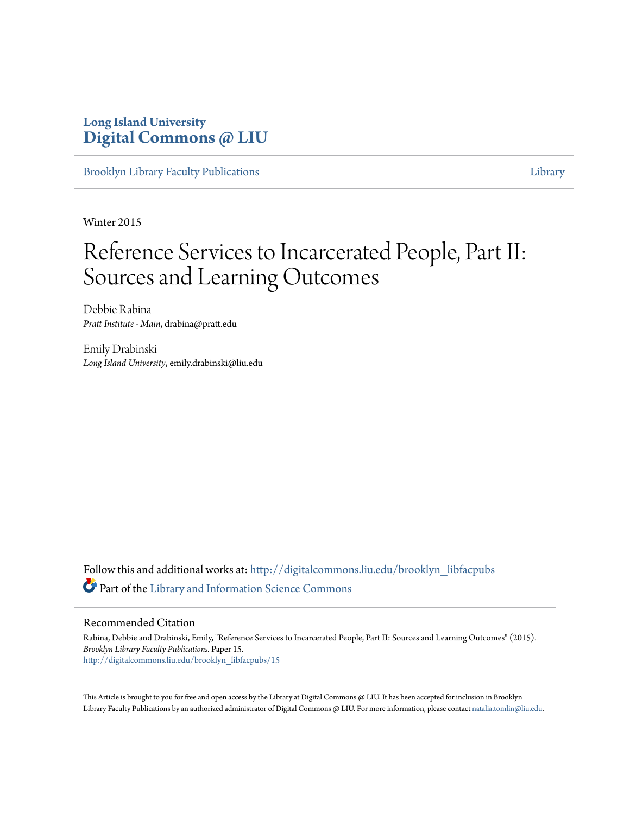### **Long Island University [Digital Commons @ LIU](http://digitalcommons.liu.edu?utm_source=digitalcommons.liu.edu%2Fbrooklyn_libfacpubs%2F15&utm_medium=PDF&utm_campaign=PDFCoverPages)**

[Brooklyn Library Faculty Publications](http://digitalcommons.liu.edu/brooklyn_libfacpubs?utm_source=digitalcommons.liu.edu%2Fbrooklyn_libfacpubs%2F15&utm_medium=PDF&utm_campaign=PDFCoverPages) [Library](http://digitalcommons.liu.edu/brooklyn_library?utm_source=digitalcommons.liu.edu%2Fbrooklyn_libfacpubs%2F15&utm_medium=PDF&utm_campaign=PDFCoverPages) Library

Winter 2015

## Reference Services to Incarcerated People, Part II: Sources and Learning Outcomes

Debbie Rabina *Pratt Institute - Main*, drabina@pratt.edu

Emily Drabinski *Long Island University*, emily.drabinski@liu.edu

Follow this and additional works at: [http://digitalcommons.liu.edu/brooklyn\\_libfacpubs](http://digitalcommons.liu.edu/brooklyn_libfacpubs?utm_source=digitalcommons.liu.edu%2Fbrooklyn_libfacpubs%2F15&utm_medium=PDF&utm_campaign=PDFCoverPages) Part of the [Library and Information Science Commons](http://network.bepress.com/hgg/discipline/1018?utm_source=digitalcommons.liu.edu%2Fbrooklyn_libfacpubs%2F15&utm_medium=PDF&utm_campaign=PDFCoverPages)

#### Recommended Citation

Rabina, Debbie and Drabinski, Emily, "Reference Services to Incarcerated People, Part II: Sources and Learning Outcomes" (2015). *Brooklyn Library Faculty Publications.* Paper 15. [http://digitalcommons.liu.edu/brooklyn\\_libfacpubs/15](http://digitalcommons.liu.edu/brooklyn_libfacpubs/15?utm_source=digitalcommons.liu.edu%2Fbrooklyn_libfacpubs%2F15&utm_medium=PDF&utm_campaign=PDFCoverPages)

This Article is brought to you for free and open access by the Library at Digital Commons @ LIU. It has been accepted for inclusion in Brooklyn Library Faculty Publications by an authorized administrator of Digital Commons @ LIU. For more information, please contact [natalia.tomlin@liu.edu](mailto:natalia.tomlin@liu.edu).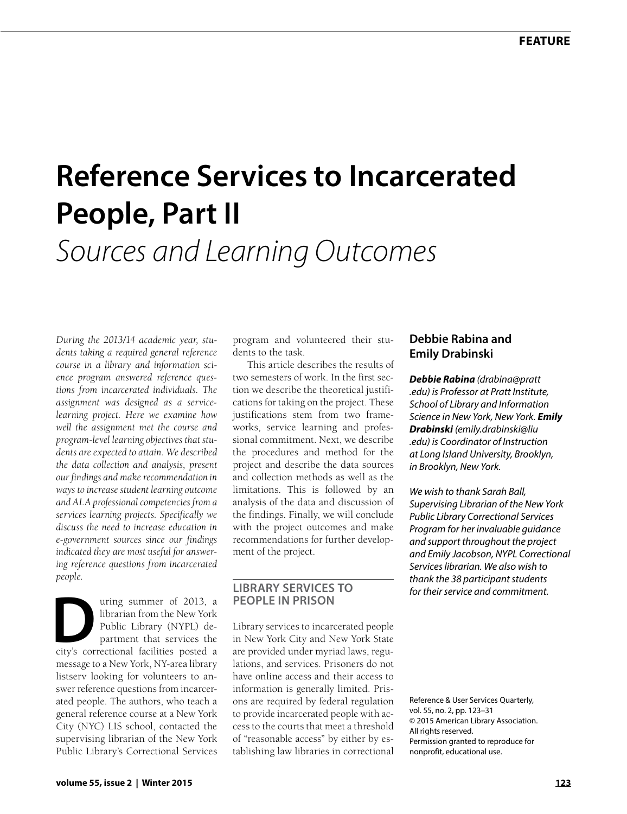# **Reference Services to Incarcerated People, Part II** *Sources and Learning Outcomes*

*During the 2013/14 academic year, students taking a required general reference course in a library and information science program answered reference questions from incarcerated individuals. The assignment was designed as a servicelearning project. Here we examine how well the assignment met the course and program-level learning objectives that students are expected to attain. We described the data collection and analysis, present our findings and make recommendation in ways to increase student learning outcome and ALA professional competencies from a services learning projects. Specifically we discuss the need to increase education in e-government sources since our findings indicated they are most useful for answering reference questions from incarcerated people.*

uring summer of 2013, a<br>
librarian from the New York<br>
Public Library (NYPL) de-<br>
partment that services the<br>
city's correctional facilities posted a librarian from the New York Public Library (NYPL) department that services the message to a New York, NY-area library listserv looking for volunteers to answer reference questions from incarcerated people. The authors, who teach a general reference course at a New York City (NYC) LIS school, contacted the supervising librarian of the New York Public Library's Correctional Services

program and volunteered their students to the task.

This article describes the results of two semesters of work. In the first section we describe the theoretical justifications for taking on the project. These justifications stem from two frameworks, service learning and professional commitment. Next, we describe the procedures and method for the project and describe the data sources and collection methods as well as the limitations. This is followed by an analysis of the data and discussion of the findings. Finally, we will conclude with the project outcomes and make recommendations for further development of the project.

#### **LIBRARY SERVICES TO PEOPLE IN PRISON**

Library services to incarcerated people in New York City and New York State are provided under myriad laws, regulations, and services. Prisoners do not have online access and their access to information is generally limited. Prisons are required by federal regulation to provide incarcerated people with access to the courts that meet a threshold of "reasonable access" by either by establishing law libraries in correctional

#### **Debbie Rabina and Emily Drabinski**

*Debbie Rabina ([drabina@pratt](mailto:drabina%40pratt.edu?subject=) [.edu](mailto:drabina%40pratt.edu?subject=)) is Professor at Pratt Institute, School of Library and Information Science in New York, New York. Emily Drabinski ([emily.drabinski@liu](mailto:emily.drabinski%40liu.edu?subject=) [.edu](mailto:emily.drabinski%40liu.edu?subject=)) is Coordinator of Instruction at Long Island University, Brooklyn, in Brooklyn, New York.* 

*We wish to thank Sarah Ball, Supervising Librarian of the New York Public Library Correctional Services Program for her invaluable guidance and support throughout the project and Emily Jacobson, NYPL Correctional Services librarian. We also wish to thank the 38 participant students for their service and commitment.*

Reference & User Services Quarterly, vol. 55, no. 2, pp. 123–31 © 2015 American Library Association. All rights reserved. Permission granted to reproduce for nonprofit, educational use.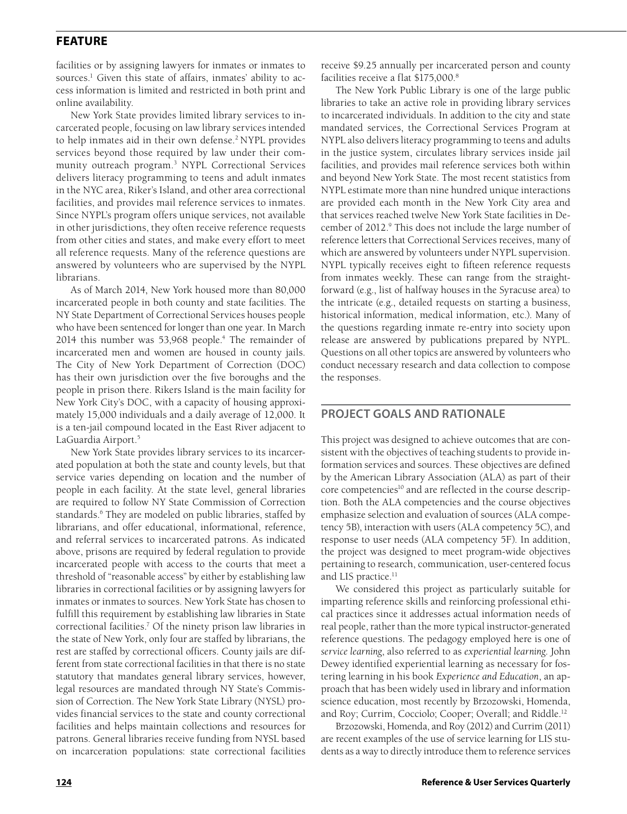facilities or by assigning lawyers for inmates or inmates to sources.<sup>1</sup> Given this state of affairs, inmates' ability to access information is limited and restricted in both print and online availability.

New York State provides limited library services to incarcerated people, focusing on law library services intended to help inmates aid in their own defense.<sup>2</sup> NYPL provides services beyond those required by law under their community outreach program.3 NYPL Correctional Services delivers literacy programming to teens and adult inmates in the NYC area, Riker's Island, and other area correctional facilities, and provides mail reference services to inmates. Since NYPL's program offers unique services, not available in other jurisdictions, they often receive reference requests from other cities and states, and make every effort to meet all reference requests. Many of the reference questions are answered by volunteers who are supervised by the NYPL librarians.

As of March 2014, New York housed more than 80,000 incarcerated people in both county and state facilities. The NY State Department of Correctional Services houses people who have been sentenced for longer than one year. In March 2014 this number was 53,968 people.<sup>4</sup> The remainder of incarcerated men and women are housed in county jails. The City of New York Department of Correction (DOC) has their own jurisdiction over the five boroughs and the people in prison there. Rikers Island is the main facility for New York City's DOC, with a capacity of housing approximately 15,000 individuals and a daily average of 12,000. It is a ten-jail compound located in the East River adjacent to LaGuardia Airport.5

New York State provides library services to its incarcerated population at both the state and county levels, but that service varies depending on location and the number of people in each facility. At the state level, general libraries are required to follow NY State Commission of Correction standards.<sup>6</sup> They are modeled on public libraries, staffed by librarians, and offer educational, informational, reference, and referral services to incarcerated patrons. As indicated above, prisons are required by federal regulation to provide incarcerated people with access to the courts that meet a threshold of "reasonable access" by either by establishing law libraries in correctional facilities or by assigning lawyers for inmates or inmates to sources. New York State has chosen to fulfill this requirement by establishing law libraries in State correctional facilities.7 Of the ninety prison law libraries in the state of New York, only four are staffed by librarians, the rest are staffed by correctional officers. County jails are different from state correctional facilities in that there is no state statutory that mandates general library services, however, legal resources are mandated through NY State's Commission of Correction. The New York State Library (NYSL) provides financial services to the state and county correctional facilities and helps maintain collections and resources for patrons. General libraries receive funding from NYSL based on incarceration populations: state correctional facilities

receive \$9.25 annually per incarcerated person and county facilities receive a flat \$175,000.<sup>8</sup>

The New York Public Library is one of the large public libraries to take an active role in providing library services to incarcerated individuals. In addition to the city and state mandated services, the Correctional Services Program at NYPL also delivers literacy programming to teens and adults in the justice system, circulates library services inside jail facilities, and provides mail reference services both within and beyond New York State. The most recent statistics from NYPL estimate more than nine hundred unique interactions are provided each month in the New York City area and that services reached twelve New York State facilities in December of 2012.<sup>9</sup> This does not include the large number of reference letters that Correctional Services receives, many of which are answered by volunteers under NYPL supervision. NYPL typically receives eight to fifteen reference requests from inmates weekly. These can range from the straightforward (e.g., list of halfway houses in the Syracuse area) to the intricate (e.g., detailed requests on starting a business, historical information, medical information, etc.). Many of the questions regarding inmate re-entry into society upon release are answered by publications prepared by NYPL. Questions on all other topics are answered by volunteers who conduct necessary research and data collection to compose the responses.

#### **PROJECT GOALS AND RATIONALE**

This project was designed to achieve outcomes that are consistent with the objectives of teaching students to provide information services and sources. These objectives are defined by the American Library Association (ALA) as part of their core competencies<sup>10</sup> and are reflected in the course description. Both the ALA competencies and the course objectives emphasize selection and evaluation of sources (ALA competency 5B), interaction with users (ALA competency 5C), and response to user needs (ALA competency 5F). In addition, the project was designed to meet program-wide objectives pertaining to research, communication, user-centered focus and LIS practice.<sup>11</sup>

We considered this project as particularly suitable for imparting reference skills and reinforcing professional ethical practices since it addresses actual information needs of real people, rather than the more typical instructor-generated reference questions. The pedagogy employed here is one of *service learning*, also referred to as *experiential learning*. John Dewey identified experiential learning as necessary for fostering learning in his book *Experience and Education*, an approach that has been widely used in library and information science education, most recently by Brzozowski, Homenda, and Roy; Currim, Cocciolo; Cooper; Overall; and Riddle.<sup>12</sup>

Brzozowski, Homenda, and Roy (2012) and Currim (2011) are recent examples of the use of service learning for LIS students as a way to directly introduce them to reference services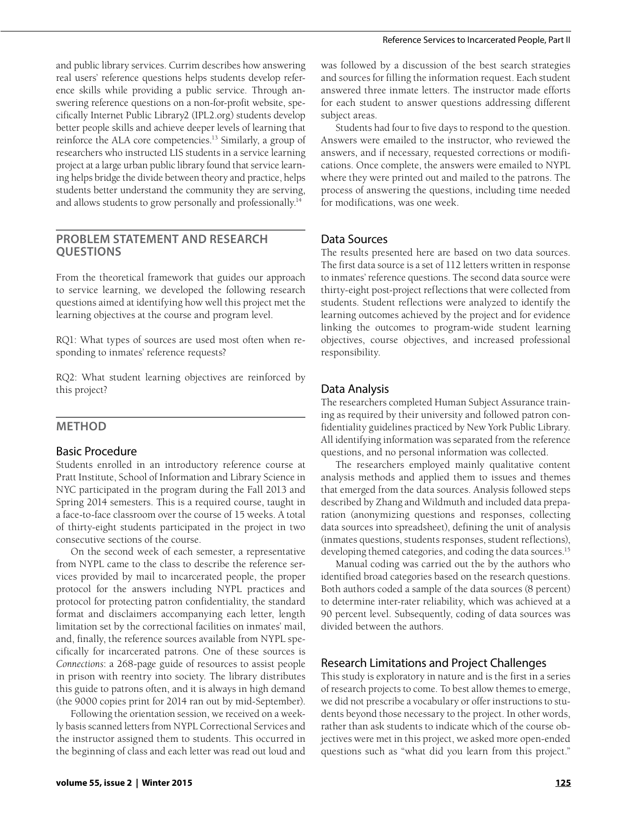and public library services. Currim describes how answering real users' reference questions helps students develop reference skills while providing a public service. Through answering reference questions on a non-for-profit website, specifically Internet Public Library2 (IPL2.org) students develop better people skills and achieve deeper levels of learning that reinforce the ALA core competencies.<sup>13</sup> Similarly, a group of researchers who instructed LIS students in a service learning project at a large urban public library found that service learning helps bridge the divide between theory and practice, helps students better understand the community they are serving, and allows students to grow personally and professionally.<sup>14</sup>

#### **PROBLEM STATEMENT AND RESEARCH QUESTIONS**

From the theoretical framework that guides our approach to service learning, we developed the following research questions aimed at identifying how well this project met the learning objectives at the course and program level.

RQ1: What types of sources are used most often when responding to inmates' reference requests?

RQ2: What student learning objectives are reinforced by this project?

#### **METHOD**

#### Basic Procedure

Students enrolled in an introductory reference course at Pratt Institute, School of Information and Library Science in NYC participated in the program during the Fall 2013 and Spring 2014 semesters. This is a required course, taught in a face-to-face classroom over the course of 15 weeks. A total of thirty-eight students participated in the project in two consecutive sections of the course.

On the second week of each semester, a representative from NYPL came to the class to describe the reference services provided by mail to incarcerated people, the proper protocol for the answers including NYPL practices and protocol for protecting patron confidentiality, the standard format and disclaimers accompanying each letter, length limitation set by the correctional facilities on inmates' mail, and, finally, the reference sources available from NYPL specifically for incarcerated patrons. One of these sources is *Connections*: a 268-page guide of resources to assist people in prison with reentry into society. The library distributes this guide to patrons often, and it is always in high demand (the 9000 copies print for 2014 ran out by mid-September).

Following the orientation session, we received on a weekly basis scanned letters from NYPL Correctional Services and the instructor assigned them to students. This occurred in the beginning of class and each letter was read out loud and

was followed by a discussion of the best search strategies and sources for filling the information request. Each student answered three inmate letters. The instructor made efforts for each student to answer questions addressing different subject areas.

Students had four to five days to respond to the question. Answers were emailed to the instructor, who reviewed the answers, and if necessary, requested corrections or modifications. Once complete, the answers were emailed to NYPL where they were printed out and mailed to the patrons. The process of answering the questions, including time needed for modifications, was one week.

#### Data Sources

The results presented here are based on two data sources. The first data source is a set of 112 letters written in response to inmates' reference questions. The second data source were thirty-eight post-project reflections that were collected from students. Student reflections were analyzed to identify the learning outcomes achieved by the project and for evidence linking the outcomes to program-wide student learning objectives, course objectives, and increased professional responsibility.

#### Data Analysis

The researchers completed Human Subject Assurance training as required by their university and followed patron confidentiality guidelines practiced by New York Public Library. All identifying information was separated from the reference questions, and no personal information was collected.

The researchers employed mainly qualitative content analysis methods and applied them to issues and themes that emerged from the data sources. Analysis followed steps described by Zhang and Wildmuth and included data preparation (anonymizing questions and responses, collecting data sources into spreadsheet), defining the unit of analysis (inmates questions, students responses, student reflections), developing themed categories, and coding the data sources.<sup>15</sup>

Manual coding was carried out the by the authors who identified broad categories based on the research questions. Both authors coded a sample of the data sources (8 percent) to determine inter-rater reliability, which was achieved at a 90 percent level. Subsequently, coding of data sources was divided between the authors.

#### Research Limitations and Project Challenges

This study is exploratory in nature and is the first in a series of research projects to come. To best allow themes to emerge, we did not prescribe a vocabulary or offer instructions to students beyond those necessary to the project. In other words, rather than ask students to indicate which of the course objectives were met in this project, we asked more open-ended questions such as "what did you learn from this project."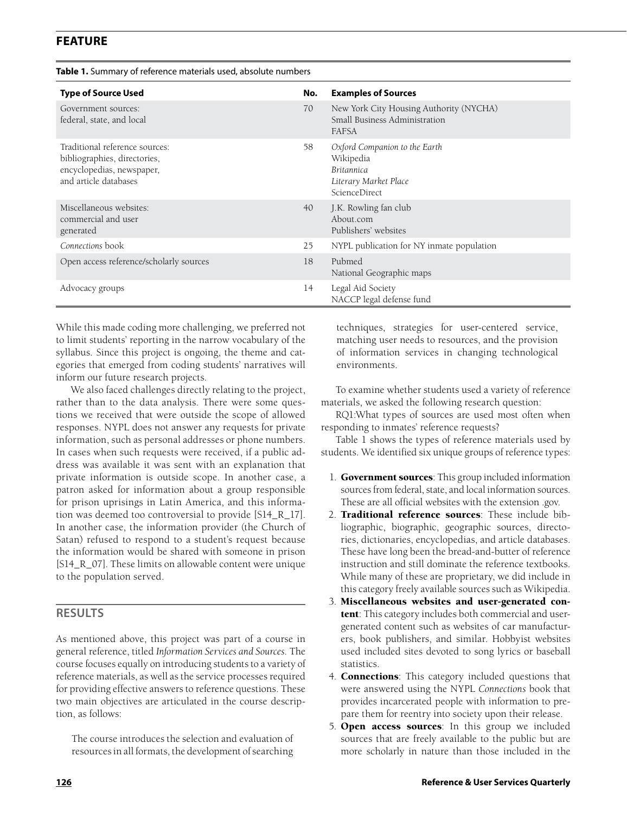|  |  |  |  | Table 1. Summary of reference materials used, absolute numbers |
|--|--|--|--|----------------------------------------------------------------|
|--|--|--|--|----------------------------------------------------------------|

| <b>Type of Source Used</b>                                                                                           | No. | <b>Examples of Sources</b>                                                                                       |
|----------------------------------------------------------------------------------------------------------------------|-----|------------------------------------------------------------------------------------------------------------------|
| Government sources:<br>federal, state, and local                                                                     | 70  | New York City Housing Authority (NYCHA)<br>Small Business Administration<br><b>FAFSA</b>                         |
| Traditional reference sources:<br>bibliographies, directories,<br>encyclopedias, newspaper,<br>and article databases | 58  | Oxford Companion to the Earth<br>Wikipedia<br><b>Britannica</b><br>Literary Market Place<br><b>ScienceDirect</b> |
| Miscellaneous websites:<br>commercial and user<br>generated                                                          | 40  | J.K. Rowling fan club<br>About.com<br>Publishers' websites                                                       |
| Connections book                                                                                                     | 25  | NYPL publication for NY inmate population                                                                        |
| Open access reference/scholarly sources                                                                              | 18  | Pubmed<br>National Geographic maps                                                                               |
| Advocacy groups                                                                                                      | 14  | Legal Aid Society<br>NACCP legal defense fund                                                                    |

While this made coding more challenging, we preferred not to limit students' reporting in the narrow vocabulary of the syllabus. Since this project is ongoing, the theme and categories that emerged from coding students' narratives will inform our future research projects.

We also faced challenges directly relating to the project, rather than to the data analysis. There were some questions we received that were outside the scope of allowed responses. NYPL does not answer any requests for private information, such as personal addresses or phone numbers. In cases when such requests were received, if a public address was available it was sent with an explanation that private information is outside scope. In another case, a patron asked for information about a group responsible for prison uprisings in Latin America, and this information was deemed too controversial to provide [S14\_R\_17]. In another case, the information provider (the Church of Satan) refused to respond to a student's request because the information would be shared with someone in prison [S14 R 07]. These limits on allowable content were unique to the population served.

#### **RESULTS**

As mentioned above, this project was part of a course in general reference, titled *Information Services and Sources*. The course focuses equally on introducing students to a variety of reference materials, as well as the service processes required for providing effective answers to reference questions. These two main objectives are articulated in the course description, as follows:

The course introduces the selection and evaluation of resources in all formats, the development of searching techniques, strategies for user-centered service, matching user needs to resources, and the provision of information services in changing technological environments.

To examine whether students used a variety of reference materials, we asked the following research question:

RQ1:What types of sources are used most often when responding to inmates' reference requests?

Table 1 shows the types of reference materials used by students. We identified six unique groups of reference types:

- 1. Government sources: This group included information sources from federal, state, and local information sources. These are all official websites with the extension .gov.
- 2. Traditional reference sources: These include bibliographic, biographic, geographic sources, directories, dictionaries, encyclopedias, and article databases. These have long been the bread-and-butter of reference instruction and still dominate the reference textbooks. While many of these are proprietary, we did include in this category freely available sources such as Wikipedia.
- 3. Miscellaneous websites and user-generated content: This category includes both commercial and usergenerated content such as websites of car manufacturers, book publishers, and similar. Hobbyist websites used included sites devoted to song lyrics or baseball statistics.
- 4. Connections: This category included questions that were answered using the NYPL *Connections* book that provides incarcerated people with information to prepare them for reentry into society upon their release.
- 5. Open access sources: In this group we included sources that are freely available to the public but are more scholarly in nature than those included in the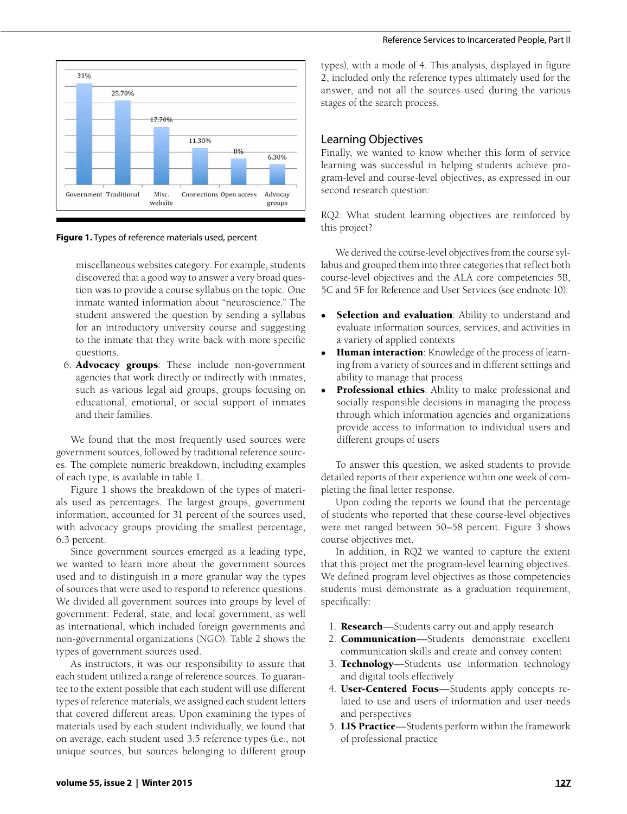

**Figure 1.** Types of reference materials used, percent

miscellaneous websites category. For example, students discovered that a good way to answer a very broad question was to provide a course syllabus on the topic. One inmate wanted information about "neuroscience." The student answered the question by sending a syllabus for an introductory university course and suggesting to the inmate that they write back with more specific questions.

6. Advocacy groups: These include non-government agencies that work directly or indirectly with inmates, such as various legal aid groups, groups focusing on educational, emotional, or social support of inmates and their families.

We found that the most frequently used sources were government sources, followed by traditional reference sources. The complete numeric breakdown, including examples of each type, is available in table 1.

Figure 1 shows the breakdown of the types of materials used as percentages. The largest groups, government information, accounted for 31 percent of the sources used, with advocacy groups providing the smallest percentage, 6.3 percent.

Since government sources emerged as a leading type, we wanted to learn more about the government sources used and to distinguish in a more granular way the types of sources that were used to respond to reference questions. We divided all government sources into groups by level of government: Federal, state, and local government, as well as international, which included foreign governments and non-governmental organizations (NGO). Table 2 shows the types of government sources used.

As instructors, it was our responsibility to assure that each student utilized a range of reference sources. To guarantee to the extent possible that each student will use different types of reference materials, we assigned each student letters that covered different areas. Upon examining the types of materials used by each student individually, we found that on average, each student used 3.5 reference types (i.e., not unique sources, but sources belonging to different group

types), with a mode of 4. This analysis, displayed in figure 2, included only the reference types ultimately used for the answer, and not all the sources used during the various stages of the search process.

#### Learning Objectives

Finally, we wanted to know whether this form of service learning was successful in helping students achieve program-level and course-level objectives, as expressed in our second research question:

RQ2: What student learning objectives are reinforced by this project?

We derived the course-level objectives from the course syllabus and grouped them into three categories that reflect both course-level objectives and the ALA core competencies 5B, 5C and 5F for Reference and User Services (see endnote 10):

- Selection and evaluation: Ability to understand and evaluate information sources, services, and activities in a variety of applied contexts
- Human interaction: Knowledge of the process of learning from a variety of sources and in different settings and ability to manage that process
- Professional ethics: Ability to make professional and socially responsible decisions in managing the process through which information agencies and organizations provide access to information to individual users and different groups of users

To answer this question, we asked students to provide detailed reports of their experience within one week of completing the final letter response.

Upon coding the reports we found that the percentage of students who reported that these course-level objectives were met ranged between 50–58 percent. Figure 3 shows course objectives met.

In addition, in RQ2 we wanted to capture the extent that this project met the program-level learning objectives. We defined program level objectives as those competencies students must demonstrate as a graduation requirement, specifically:

- 1. Research—Students carry out and apply research
- 2. Communication—Students demonstrate excellent communication skills and create and convey content
- 3. Technology—Students use information technology and digital tools effectively
- 4. User-Centered Focus—Students apply concepts related to use and users of information and user needs and perspectives
- 5. LIS Practice—Students perform within the framework of professional practice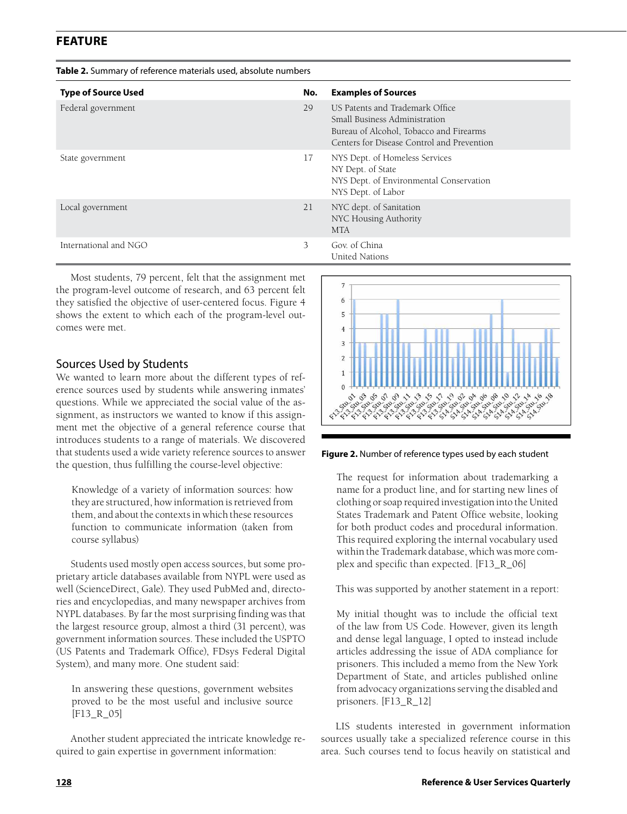| <b>Type of Source Used</b> | No. | <b>Examples of Sources</b>                                                                                                                                 |
|----------------------------|-----|------------------------------------------------------------------------------------------------------------------------------------------------------------|
| Federal government         | 29  | US Patents and Trademark Office.<br>Small Business Administration<br>Bureau of Alcohol, Tobacco and Firearms<br>Centers for Disease Control and Prevention |
| State government           | 17  | NYS Dept. of Homeless Services<br>NY Dept. of State<br>NYS Dept. of Environmental Conservation<br>NYS Dept. of Labor                                       |
| Local government           | 21  | NYC dept. of Sanitation<br>NYC Housing Authority<br><b>MTA</b>                                                                                             |
| International and NGO      | 3   | Gov. of China<br>United Nations                                                                                                                            |

Most students, 79 percent, felt that the assignment met the program-level outcome of research, and 63 percent felt they satisfied the objective of user-centered focus. Figure 4 shows the extent to which each of the program-level outcomes were met.

#### Sources Used by Students

We wanted to learn more about the different types of reference sources used by students while answering inmates' questions. While we appreciated the social value of the assignment, as instructors we wanted to know if this assignment met the objective of a general reference course that introduces students to a range of materials. We discovered that students used a wide variety reference sources to answer the question, thus fulfilling the course-level objective:

Knowledge of a variety of information sources: how they are structured, how information is retrieved from them, and about the contexts in which these resources function to communicate information (taken from course syllabus)

Students used mostly open access sources, but some proprietary article databases available from NYPL were used as well (ScienceDirect, Gale). They used PubMed and, directories and encyclopedias, and many newspaper archives from NYPL databases. By far the most surprising finding was that the largest resource group, almost a third (31 percent), was government information sources. These included the USPTO (US Patents and Trademark Office), FDsys Federal Digital System), and many more. One student said:

In answering these questions, government websites proved to be the most useful and inclusive source [F13\_R\_05]

Another student appreciated the intricate knowledge required to gain expertise in government information:



**Figure 2.** Number of reference types used by each student

The request for information about trademarking a name for a product line, and for starting new lines of clothing or soap required investigation into the United States Trademark and Patent Office website, looking for both product codes and procedural information. This required exploring the internal vocabulary used within the Trademark database, which was more complex and specific than expected. [F13\_R\_06]

This was supported by another statement in a report:

My initial thought was to include the official text of the law from US Code. However, given its length and dense legal language, I opted to instead include articles addressing the issue of ADA compliance for prisoners. This included a memo from the New York Department of State, and articles published online from advocacy organizations serving the disabled and prisoners. [F13\_R\_12]

LIS students interested in government information sources usually take a specialized reference course in this area. Such courses tend to focus heavily on statistical and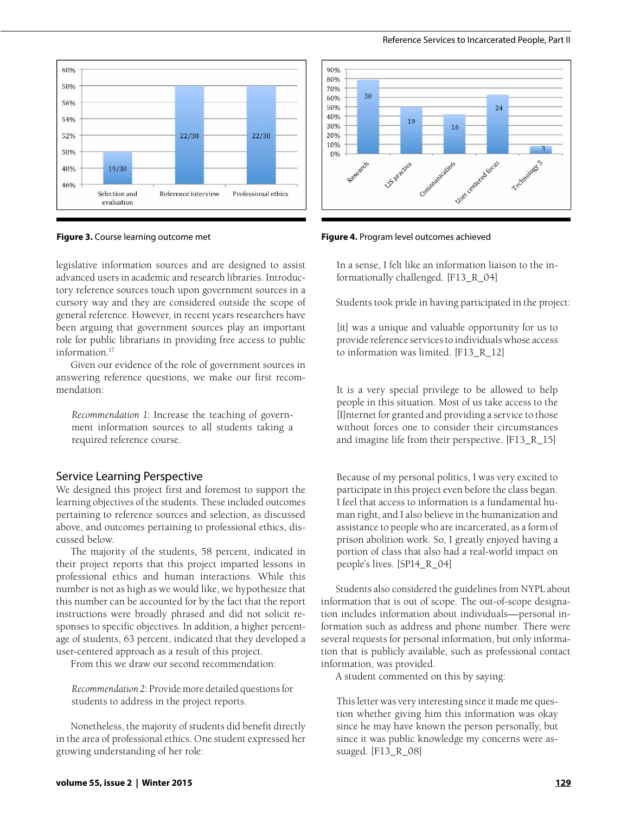



legislative information sources and are designed to assist advanced users in academic and research libraries. Introductory reference sources touch upon government sources in a cursory way and they are considered outside the scope of general reference. However, in recent years researchers have been arguing that government sources play an important role for public librarians in providing free access to public information.17

Given our evidence of the role of government sources in answering reference questions, we make our first recommendation:

*Recommendation 1:* Increase the teaching of government information sources to all students taking a required reference course.

#### Service Learning Perspective

We designed this project first and foremost to support the learning objectives of the students. These included outcomes pertaining to reference sources and selection, as discussed above, and outcomes pertaining to professional ethics, discussed below.

The majority of the students, 58 percent, indicated in their project reports that this project imparted lessons in professional ethics and human interactions. While this number is not as high as we would like, we hypothesize that this number can be accounted for by the fact that the report instructions were broadly phrased and did not solicit responses to specific objectives. In addition, a higher percentage of students, 63 percent, indicated that they developed a user-centered approach as a result of this project.

From this we draw our second recommendation:

*Recommendation 2*: Provide more detailed questions for students to address in the project reports.

Nonetheless, the majority of students did benefit directly in the area of professional ethics. One student expressed her growing understanding of her role:



**Figure 3.** Course learning outcome met **Figure 4.** Program level outcomes achieved

In a sense, I felt like an information liaison to the informationally challenged. [F13\_R\_04]

Students took pride in having participated in the project:

[it] was a unique and valuable opportunity for us to provide reference services to individuals whose access to information was limited. [F13\_R\_12]

It is a very special privilege to be allowed to help people in this situation. Most of us take access to the [I]nternet for granted and providing a service to those without forces one to consider their circumstances and imagine life from their perspective. [F13\_R\_15]

Because of my personal politics, I was very excited to participate in this project even before the class began. I feel that access to information is a fundamental human right, and I also believe in the humanization and assistance to people who are incarcerated, as a form of prison abolition work. So, I greatly enjoyed having a portion of class that also had a real-world impact on people's lives. [SP14\_R\_04]

Students also considered the guidelines from NYPL about information that is out of scope. The out-of-scope designation includes information about individuals—personal information such as address and phone number. There were several requests for personal information, but only information that is publicly available, such as professional contact information, was provided.

A student commented on this by saying:

This letter was very interesting since it made me question whether giving him this information was okay since he may have known the person personally, but since it was public knowledge my concerns were assuaged. [F13\_R\_08]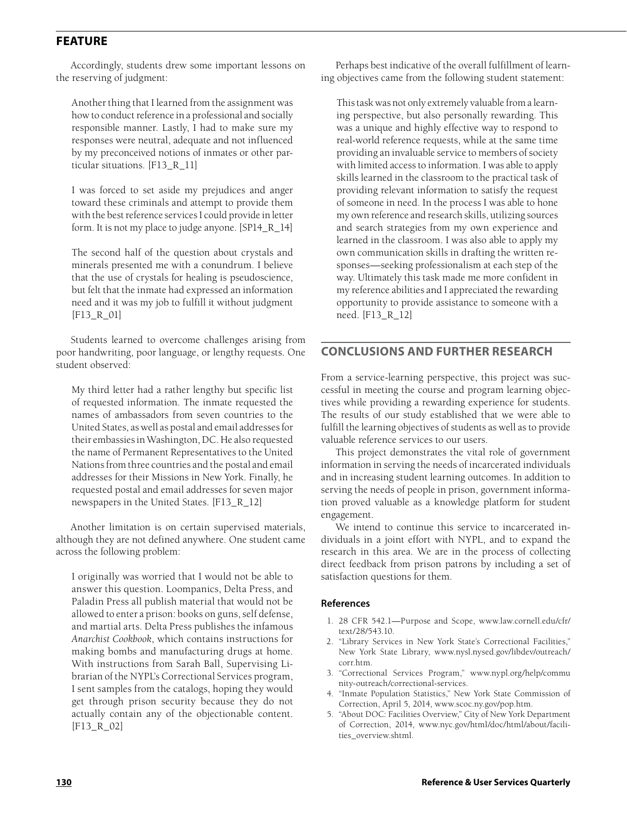Accordingly, students drew some important lessons on the reserving of judgment:

Another thing that I learned from the assignment was how to conduct reference in a professional and socially responsible manner. Lastly, I had to make sure my responses were neutral, adequate and not influenced by my preconceived notions of inmates or other particular situations. [F13\_R\_11]

I was forced to set aside my prejudices and anger toward these criminals and attempt to provide them with the best reference services I could provide in letter form. It is not my place to judge anyone. [SP14\_R\_14]

The second half of the question about crystals and minerals presented me with a conundrum. I believe that the use of crystals for healing is pseudoscience, but felt that the inmate had expressed an information need and it was my job to fulfill it without judgment [F13\_R\_01]

Students learned to overcome challenges arising from poor handwriting, poor language, or lengthy requests. One student observed:

My third letter had a rather lengthy but specific list of requested information. The inmate requested the names of ambassadors from seven countries to the United States, as well as postal and email addresses for their embassies in Washington, DC. He also requested the name of Permanent Representatives to the United Nations from three countries and the postal and email addresses for their Missions in New York. Finally, he requested postal and email addresses for seven major newspapers in the United States. [F13\_R\_12]

Another limitation is on certain supervised materials, although they are not defined anywhere. One student came across the following problem:

I originally was worried that I would not be able to answer this question. Loompanics, Delta Press, and Paladin Press all publish material that would not be allowed to enter a prison: books on guns, self defense, and martial arts. Delta Press publishes the infamous *Anarchist Cookbook*, which contains instructions for making bombs and manufacturing drugs at home. With instructions from Sarah Ball, Supervising Librarian of the NYPL's Correctional Services program, I sent samples from the catalogs, hoping they would get through prison security because they do not actually contain any of the objectionable content. [F13\_R\_02]

Perhaps best indicative of the overall fulfillment of learning objectives came from the following student statement:

This task was not only extremely valuable from a learning perspective, but also personally rewarding. This was a unique and highly effective way to respond to real-world reference requests, while at the same time providing an invaluable service to members of society with limited access to information. I was able to apply skills learned in the classroom to the practical task of providing relevant information to satisfy the request of someone in need. In the process I was able to hone my own reference and research skills, utilizing sources and search strategies from my own experience and learned in the classroom. I was also able to apply my own communication skills in drafting the written responses—seeking professionalism at each step of the way. Ultimately this task made me more confident in my reference abilities and I appreciated the rewarding opportunity to provide assistance to someone with a need. [F13\_R\_12]

#### **CONCLUSIONS AND FURTHER RESEARCH**

From a service-learning perspective, this project was successful in meeting the course and program learning objectives while providing a rewarding experience for students. The results of our study established that we were able to fulfill the learning objectives of students as well as to provide valuable reference services to our users.

This project demonstrates the vital role of government information in serving the needs of incarcerated individuals and in increasing student learning outcomes. In addition to serving the needs of people in prison, government information proved valuable as a knowledge platform for student engagement.

We intend to continue this service to incarcerated individuals in a joint effort with NYPL, and to expand the research in this area. We are in the process of collecting direct feedback from prison patrons by including a set of satisfaction questions for them.

#### **References**

- 1. 28 CFR 542.1—Purpose and Scope, www.law.cornell.edu/cfr/ text/28/543.10.
- 2. "Library Services in New York State's Correctional Facilities," New York State Library, www.nysl.nysed.gov/libdev/outreach/ corr.htm.
- 3. "Correctional Services Program," www.nypl.org/help/commu nity-outreach/correctional-services.
- 4. "Inmate Population Statistics," New York State Commission of Correction, April 5, 2014, www.scoc.ny.gov/pop.htm.
- 5. "About DOC: Facilities Overview," City of New York Department of Correction, 2014, www.nyc.gov/html/doc/html/about/facilities\_overview.shtml.